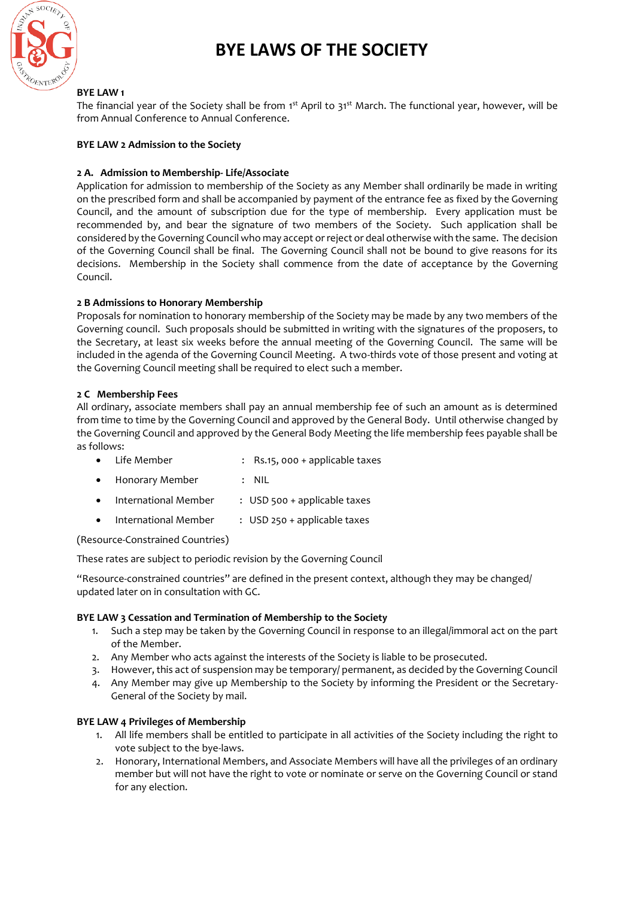

## **BYE LAW 1**

The financial year of the Society shall be from 1<sup>st</sup> April to 31<sup>st</sup> March. The functional year, however, will be from Annual Conference to Annual Conference.

## **BYE LAW 2 Admission to the Society**

## **2 A. Admission to Membership- Life/Associate**

Application for admission to membership of the Society as any Member shall ordinarily be made in writing on the prescribed form and shall be accompanied by payment of the entrance fee as fixed by the Governing Council, and the amount of subscription due for the type of membership. Every application must be recommended by, and bear the signature of two members of the Society. Such application shall be considered by the Governing Council who may accept or reject or deal otherwise with the same. The decision of the Governing Council shall be final. The Governing Council shall not be bound to give reasons for its decisions. Membership in the Society shall commence from the date of acceptance by the Governing Council.

## **2 B Admissions to Honorary Membership**

Proposals for nomination to honorary membership of the Society may be made by any two members of the Governing council. Such proposals should be submitted in writing with the signatures of the proposers, to the Secretary, at least six weeks before the annual meeting of the Governing Council. The same will be included in the agenda of the Governing Council Meeting. A two-thirds vote of those present and voting at the Governing Council meeting shall be required to elect such a member.

## **2 C Membership Fees**

All ordinary, associate members shall pay an annual membership fee of such an amount as is determined from time to time by the Governing Council and approved by the General Body. Until otherwise changed by the Governing Council and approved by the General Body Meeting the life membership fees payable shall be as follows:

- Life Member : Rs.15, 000 + applicable taxes
- Honorary Member : NIL
- International Member : USD 500 + applicable taxes
- International Member : USD 250 + applicable taxes

(Resource-Constrained Countries)

These rates are subject to periodic revision by the Governing Council

"Resource-constrained countries" are defined in the present context, although they may be changed/ updated later on in consultation with GC.

#### **BYE LAW 3 Cessation and Termination of Membership to the Society**

- 1. Such a step may be taken by the Governing Council in response to an illegal/immoral act on the part of the Member.
- 2. Any Member who acts against the interests of the Society is liable to be prosecuted.
- 3. However, this act of suspension may be temporary/ permanent, as decided by the Governing Council
- 4. Any Member may give up Membership to the Society by informing the President or the Secretary-General of the Society by mail.

## **BYE LAW 4 Privileges of Membership**

- 1. All life members shall be entitled to participate in all activities of the Society including the right to vote subject to the bye-laws.
- 2. Honorary, International Members, and Associate Members will have all the privileges of an ordinary member but will not have the right to vote or nominate or serve on the Governing Council or stand for any election.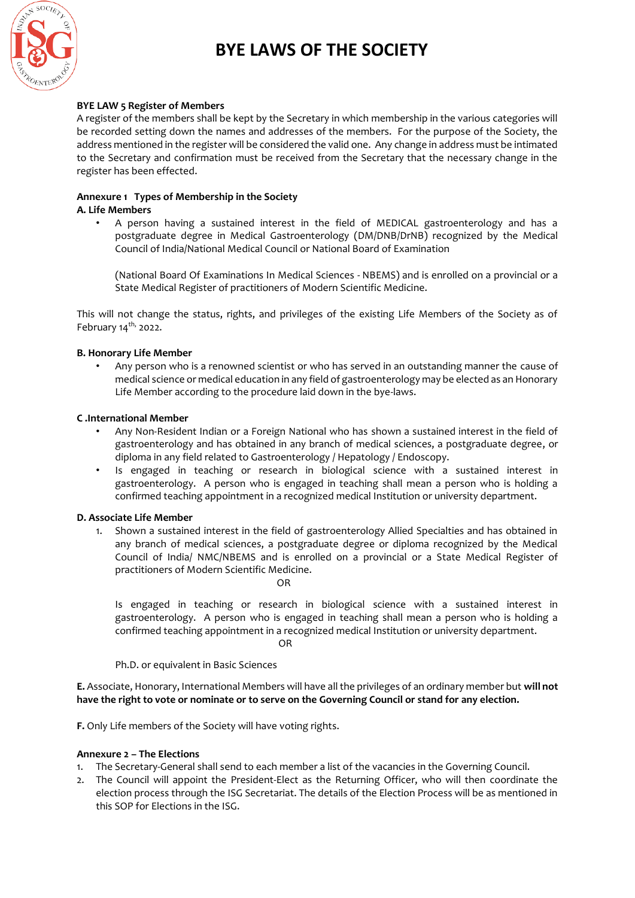

## **BYE LAW 5 Register of Members**

A register of the members shall be kept by the Secretary in which membership in the various categories will be recorded setting down the names and addresses of the members. For the purpose of the Society, the address mentioned in the register will be considered the valid one. Any change in address must be intimated to the Secretary and confirmation must be received from the Secretary that the necessary change in the register has been effected.

## **Annexure 1 Types of Membership in the Society**

## **A. Life Members**

• A person having a sustained interest in the field of MEDICAL gastroenterology and has a postgraduate degree in Medical Gastroenterology (DM/DNB/DrNB) recognized by the Medical Council of India/National Medical Council or National Board of Examination

(National Board Of Examinations In Medical Sciences - NBEMS) and is enrolled on a provincial or a State Medical Register of practitioners of Modern Scientific Medicine.

This will not change the status, rights, and privileges of the existing Life Members of the Society as of February  $14<sup>th</sup>$ , 2022.

## **B. Honorary Life Member**

• Any person who is a renowned scientist or who has served in an outstanding manner the cause of medical science or medical education in any field of gastroenterology may be elected as an Honorary Life Member according to the procedure laid down in the bye-laws.

## **C .International Member**

- Any Non-Resident Indian or a Foreign National who has shown a sustained interest in the field of gastroenterology and has obtained in any branch of medical sciences, a postgraduate degree, or diploma in any field related to Gastroenterology / Hepatology / Endoscopy.
- Is engaged in teaching or research in biological science with a sustained interest in gastroenterology. A person who is engaged in teaching shall mean a person who is holding a confirmed teaching appointment in a recognized medical Institution or university department.

#### **D. Associate Life Member**

1. Shown a sustained interest in the field of gastroenterology Allied Specialties and has obtained in any branch of medical sciences, a postgraduate degree or diploma recognized by the Medical Council of India/ NMC/NBEMS and is enrolled on a provincial or a State Medical Register of practitioners of Modern Scientific Medicine.

**OR** Service Service Service Service Service Service Service Service Service Service Service Service Service Service Service Service Service Service Service Service Service Service Service Service Service Service Service S

Is engaged in teaching or research in biological science with a sustained interest in gastroenterology. A person who is engaged in teaching shall mean a person who is holding a confirmed teaching appointment in a recognized medical Institution or university department. **OR** Service Service Service Service Service Service Service Service Service Service Service Service Service Service Service Service Service Service Service Service Service Service Service Service Service Service Service S

Ph.D. or equivalent in Basic Sciences

**E.** Associate, Honorary, International Members will have all the privileges of an ordinary member but **will not have the right to vote or nominate or to serve on the Governing Council or stand for any election.**

**F.** Only Life members of the Society will have voting rights.

## **Annexure 2 – The Elections**

- 1. The Secretary-General shall send to each member a list of the vacancies in the Governing Council.
- 2. The Council will appoint the President-Elect as the Returning Officer, who will then coordinate the election process through the ISG Secretariat. The details of the Election Process will be as mentioned in this SOP for Elections in the ISG.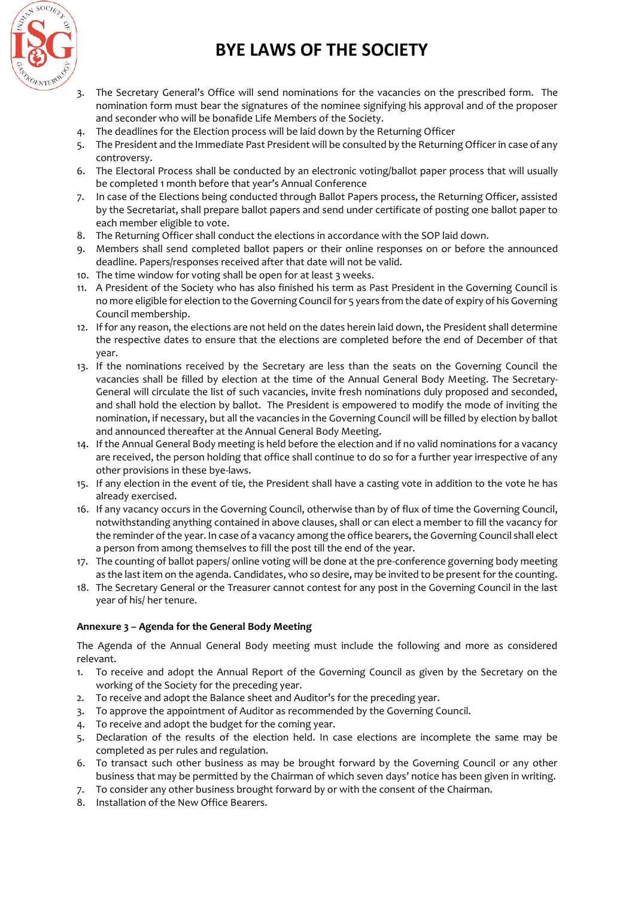

- 3. The Secretary General's Office will send nominations for the vacancies on the prescribed form. The nomination form must bear the signatures of the nominee signifying his approval and of the proposer and seconder who will be bonafide Life Members of the Society.
- 4. The deadlines for the Election process will be laid down by the Returning Officer
- 5. The President and the Immediate Past President will be consulted by the Returning Officer in case of any controversy.
- 6. The Electoral Process shall be conducted by an electronic voting/ballot paper process that will usually be completed 1 month before that year's Annual Conference
- 7. In case of the Elections being conducted through Ballot Papers process, the Returning Officer, assisted by the Secretariat, shall prepare ballot papers and send under certificate of posting one ballot paper to each member eligible to vote.
- 8. The Returning Officer shall conduct the elections in accordance with the SOP laid down.
- 9. Members shall send completed ballot papers or their online responses on or before the announced deadline. Papers/responses received after that date will not be valid.
- 10. The time window for voting shall be open for at least 3 weeks.
- 11. A President of the Society who has also finished his term as Past President in the Governing Council is no more eligible for election to the Governing Council for 5 years from the date of expiry of his Governing Council membership.
- 12. If for any reason, the elections are not held on the dates herein laid down, the President shall determine the respective dates to ensure that the elections are completed before the end of December of that year.
- 13. If the nominations received by the Secretary are less than the seats on the Governing Council the vacancies shall be filled by election at the time of the Annual General Body Meeting. The Secretary-General will circulate the list of such vacancies, invite fresh nominations duly proposed and seconded, and shall hold the election by ballot. The President is empowered to modify the mode of inviting the nomination, if necessary, but all the vacancies in the Governing Council will be filled by election by ballot and announced thereafter at the Annual General Body Meeting.
- 14. If the Annual General Body meeting is held before the election and if no valid nominations for a vacancy are received, the person holding that office shall continue to do so for a further year irrespective of any other provisions in these bye-laws.
- 15. If any election in the event of tie, the President shall have a casting vote in addition to the vote he has already exercised.
- 16. If any vacancy occurs in the Governing Council, otherwise than by of flux of time the Governing Council, notwithstanding anything contained in above clauses, shall or can elect a member to fill the vacancy for the reminder of the year. In case of a vacancy among the office bearers, the Governing Council shall elect a person from among themselves to fill the post till the end of the year.
- 17. The counting of ballot papers/ online voting will be done at the pre-conference governing body meeting as the last item on the agenda. Candidates, who so desire, may be invited to be present for the counting.
- 18. The Secretary General or the Treasurer cannot contest for any post in the Governing Council in the last year of his/ her tenure.

## **Annexure 3 – Agenda for the General Body Meeting**

The Agenda of the Annual General Body meeting must include the following and more as considered relevant.

- 1. To receive and adopt the Annual Report of the Governing Council as given by the Secretary on the working of the Society for the preceding year.
- 2. To receive and adopt the Balance sheet and Auditor's for the preceding year.
- 3. To approve the appointment of Auditor as recommended by the Governing Council.
- 4. To receive and adopt the budget for the coming year.
- 5. Declaration of the results of the election held. In case elections are incomplete the same may be completed as per rules and regulation.
- 6. To transact such other business as may be brought forward by the Governing Council or any other business that may be permitted by the Chairman of which seven days' notice has been given in writing.
- 7. To consider any other business brought forward by or with the consent of the Chairman.
- 8. Installation of the New Office Bearers.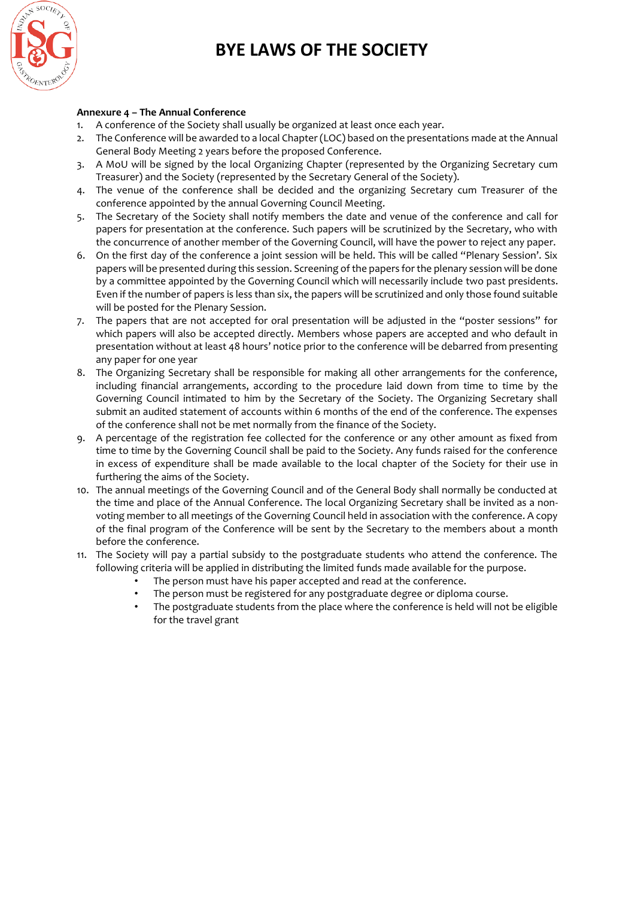

## **Annexure 4 – The Annual Conference**

- 1. A conference of the Society shall usually be organized at least once each year.
- 2. The Conference will be awarded to a local Chapter (LOC) based on the presentations made at the Annual General Body Meeting 2 years before the proposed Conference.
- 3. A MoU will be signed by the local Organizing Chapter (represented by the Organizing Secretary cum Treasurer) and the Society (represented by the Secretary General of the Society).
- 4. The venue of the conference shall be decided and the organizing Secretary cum Treasurer of the conference appointed by the annual Governing Council Meeting.
- 5. The Secretary of the Society shall notify members the date and venue of the conference and call for papers for presentation at the conference. Such papers will be scrutinized by the Secretary, who with the concurrence of another member of the Governing Council, will have the power to reject any paper.
- 6. On the first day of the conference a joint session will be held. This will be called "Plenary Session'. Six papers will be presented during this session. Screening of the papers for the plenary session will be done by a committee appointed by the Governing Council which will necessarily include two past presidents. Even if the number of papers is less than six, the papers will be scrutinized and only those found suitable will be posted for the Plenary Session.
- 7. The papers that are not accepted for oral presentation will be adjusted in the "poster sessions" for which papers will also be accepted directly. Members whose papers are accepted and who default in presentation without at least 48 hours' notice prior to the conference will be debarred from presenting any paper for one year
- 8. The Organizing Secretary shall be responsible for making all other arrangements for the conference, including financial arrangements, according to the procedure laid down from time to time by the Governing Council intimated to him by the Secretary of the Society. The Organizing Secretary shall submit an audited statement of accounts within 6 months of the end of the conference. The expenses of the conference shall not be met normally from the finance of the Society.
- 9. A percentage of the registration fee collected for the conference or any other amount as fixed from time to time by the Governing Council shall be paid to the Society. Any funds raised for the conference in excess of expenditure shall be made available to the local chapter of the Society for their use in furthering the aims of the Society.
- 10. The annual meetings of the Governing Council and of the General Body shall normally be conducted at the time and place of the Annual Conference. The local Organizing Secretary shall be invited as a nonvoting member to all meetings of the Governing Council held in association with the conference. A copy of the final program of the Conference will be sent by the Secretary to the members about a month before the conference.
- 11. The Society will pay a partial subsidy to the postgraduate students who attend the conference. The following criteria will be applied in distributing the limited funds made available for the purpose.
	- The person must have his paper accepted and read at the conference.
	- The person must be registered for any postgraduate degree or diploma course.
	- The postgraduate students from the place where the conference is held will not be eligible for the travel grant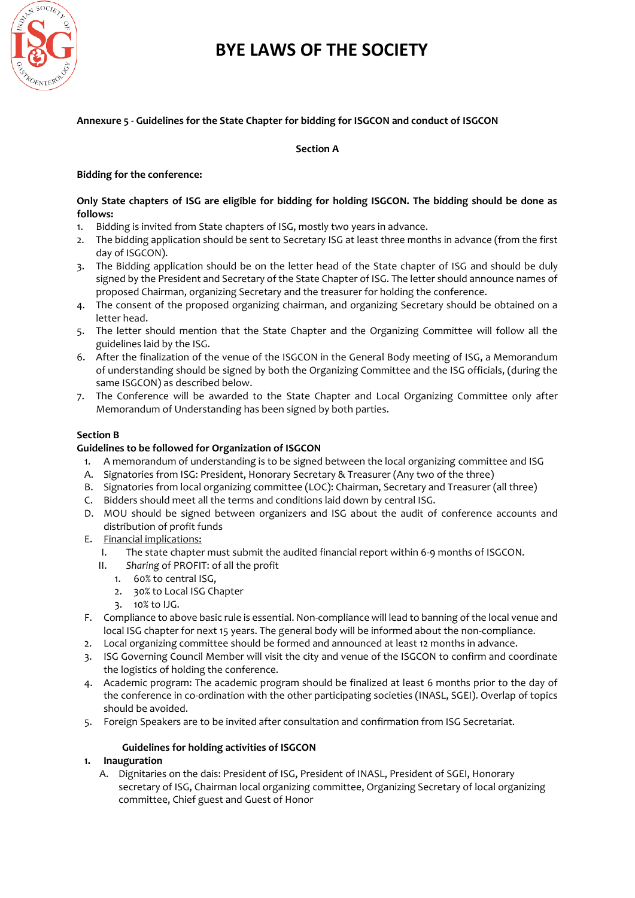

## **Annexure 5 - Guidelines for the State Chapter for bidding for ISGCON and conduct of ISGCON**

## **Section A**

## **Bidding for the conference:**

## **Only State chapters of ISG are eligible for bidding for holding ISGCON. The bidding should be done as follows:**

- 1. Bidding is invited from State chapters of ISG, mostly two years in advance.
- 2. The bidding application should be sent to Secretary ISG at least three months in advance (from the first day of ISGCON).
- 3. The Bidding application should be on the letter head of the State chapter of ISG and should be duly signed by the President and Secretary of the State Chapter of ISG. The letter should announce names of proposed Chairman, organizing Secretary and the treasurer for holding the conference.
- 4. The consent of the proposed organizing chairman, and organizing Secretary should be obtained on a letter head.
- 5. The letter should mention that the State Chapter and the Organizing Committee will follow all the guidelines laid by the ISG.
- 6. After the finalization of the venue of the ISGCON in the General Body meeting of ISG, a Memorandum of understanding should be signed by both the Organizing Committee and the ISG officials, (during the same ISGCON) as described below.
- 7. The Conference will be awarded to the State Chapter and Local Organizing Committee only after Memorandum of Understanding has been signed by both parties.

## **Section B**

## **Guidelines to be followed for Organization of ISGCON**

- 1. A memorandum of understanding is to be signed between the local organizing committee and ISG
- A. Signatories from ISG: President, Honorary Secretary & Treasurer (Any two of the three)
- B. Signatories from local organizing committee (LOC): Chairman, Secretary and Treasurer (all three)
- C. Bidders should meet all the terms and conditions laid down by central ISG.
- D. MOU should be signed between organizers and ISG about the audit of conference accounts and distribution of profit funds

#### E. Financial implications:

- I. The state chapter must submit the audited financial report within 6-9 months of ISGCON.
- II. *Sharing* of PROFIT: of all the profit
	- 1. 60% to central ISG,
	- 2. 30% to Local ISG Chapter
	- 3. 10% to IJG.
- F. Compliance to above basic rule is essential. Non-compliance will lead to banning of the local venue and local ISG chapter for next 15 years. The general body will be informed about the non-compliance.
- 2. Local organizing committee should be formed and announced at least 12 months in advance.
- 3. ISG Governing Council Member will visit the city and venue of the ISGCON to confirm and coordinate the logistics of holding the conference.
- 4. Academic program: The academic program should be finalized at least 6 months prior to the day of the conference in co-ordination with the other participating societies (INASL, SGEI). Overlap of topics should be avoided.
- 5. Foreign Speakers are to be invited after consultation and confirmation from ISG Secretariat.

#### **Guidelines for holding activities of ISGCON**

## **1. Inauguration**

A. Dignitaries on the dais: President of ISG, President of INASL, President of SGEI, Honorary secretary of ISG, Chairman local organizing committee, Organizing Secretary of local organizing committee, Chief guest and Guest of Honor